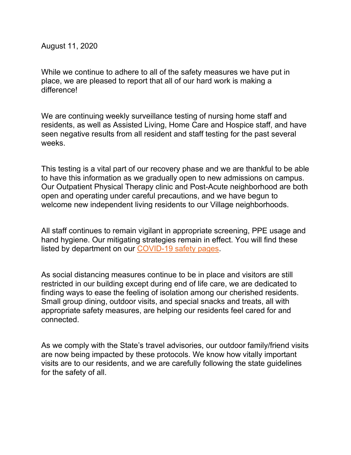August 11, 2020

While we continue to adhere to all of the safety measures we have put in place, we are pleased to report that all of our hard work is making a difference!

We are continuing weekly surveillance testing of nursing home staff and residents, as well as Assisted Living, Home Care and Hospice staff, and have seen negative results from all resident and staff testing for the past several weeks.

This testing is a vital part of our recovery phase and we are thankful to be able to have this information as we gradually open to new admissions on campus. Our Outpatient Physical Therapy clinic and Post-Acute neighborhood are both open and operating under careful precautions, and we have begun to welcome new independent living residents to our Village neighborhoods.

All staff continues to remain vigilant in appropriate screening, PPE usage and hand hygiene. Our mitigating strategies remain in effect. You will find these listed by department on our [COVID-19 safety pages.](https://mcleancare.org/covid-19-safety/)

As social distancing measures continue to be in place and visitors are still restricted in our building except during end of life care, we are dedicated to finding ways to ease the feeling of isolation among our cherished residents. Small group dining, outdoor visits, and special snacks and treats, all with appropriate safety measures, are helping our residents feel cared for and connected.

As we comply with the State's travel advisories, our outdoor family/friend visits are now being impacted by these protocols. We know how vitally important visits are to our residents, and we are carefully following the state guidelines for the safety of all.